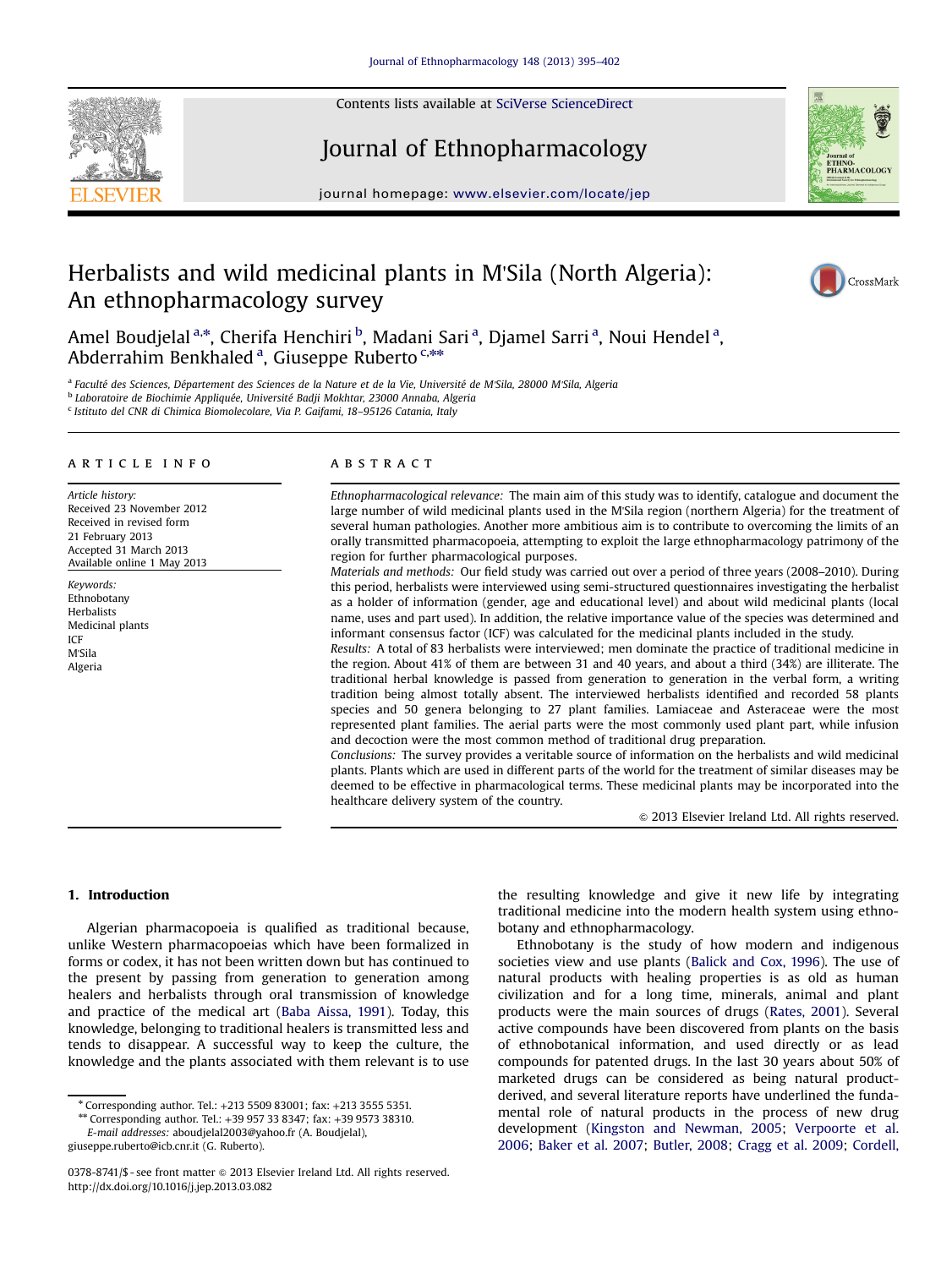Contents lists available at [SciVerse ScienceDirect](www.elsevier.com/locate/jep)

# Journal of Ethnopharmacology



journal homepage: <www.elsevier.com/locate/jep>per.com/locate/jepper.com/locate/jepper.com/locate/jepper.com/locate/jepper.com/locate/jepper.com/locate/jepper.com/locate/jepper.com/locate/jepper.com/locate/jepper.com/locate

# Herbalists and wild medicinal plants in M'Sila (North Algeria): An ethnopharmacology survey



Amel Boudjelal <sup>a,\*</sup>, Cherifa Henchiri <sup>b</sup>, Madani Sari <sup>a</sup>, Djamel Sarri <sup>a</sup>, Noui Hendel <sup>a</sup>, Abderrahim Benkhaled<sup>a</sup>, Giuseppe Ruberto<sup>c,\*\*</sup>

<sup>a</sup> Faculté des Sciences, Département des Sciences de la Nature et de la Vie, Université de M'Sila, 28000 M'Sila, Algeria

<sup>b</sup> Laboratoire de Biochimie Appliquée, Université Badji Mokhtar, 23000 Annaba, Algeria

<sup>c</sup> Istituto del CNR di Chimica Biomolecolare, Via P. Gaifami, 18–95126 Catania, Italy

# article info

Article history: Received 23 November 2012 Received in revised form 21 February 2013 Accepted 31 March 2013 Available online 1 May 2013

Keywords: Ethnobotany Herbalists Medicinal plants ICF M'Sila Algeria

## **ABSTRACT**

Ethnopharmacological relevance: The main aim of this study was to identify, catalogue and document the large number of wild medicinal plants used in the M'Sila region (northern Algeria) for the treatment of several human pathologies. Another more ambitious aim is to contribute to overcoming the limits of an orally transmitted pharmacopoeia, attempting to exploit the large ethnopharmacology patrimony of the region for further pharmacological purposes.

Materials and methods: Our field study was carried out over a period of three years (2008–2010). During this period, herbalists were interviewed using semi-structured questionnaires investigating the herbalist as a holder of information (gender, age and educational level) and about wild medicinal plants (local name, uses and part used). In addition, the relative importance value of the species was determined and informant consensus factor (ICF) was calculated for the medicinal plants included in the study.

Results: A total of 83 herbalists were interviewed; men dominate the practice of traditional medicine in the region. About 41% of them are between 31 and 40 years, and about a third (34%) are illiterate. The traditional herbal knowledge is passed from generation to generation in the verbal form, a writing tradition being almost totally absent. The interviewed herbalists identified and recorded 58 plants species and 50 genera belonging to 27 plant families. Lamiaceae and Asteraceae were the most represented plant families. The aerial parts were the most commonly used plant part, while infusion and decoction were the most common method of traditional drug preparation.

Conclusions: The survey provides a veritable source of information on the herbalists and wild medicinal plants. Plants which are used in different parts of the world for the treatment of similar diseases may be deemed to be effective in pharmacological terms. These medicinal plants may be incorporated into the healthcare delivery system of the country.

& 2013 Elsevier Ireland Ltd. All rights reserved.

## 1. Introduction

Algerian pharmacopoeia is qualified as traditional because, unlike Western pharmacopoeias which have been formalized in forms or codex, it has not been written down but has continued to the present by passing from generation to generation among healers and herbalists through oral transmission of knowledge and practice of the medical art [\(Baba Aissa, 1991\)](#page-5-0). Today, this knowledge, belonging to traditional healers is transmitted less and tends to disappear. A successful way to keep the culture, the knowledge and the plants associated with them relevant is to use the resulting knowledge and give it new life by integrating traditional medicine into the modern health system using ethnobotany and ethnopharmacology.

Ethnobotany is the study of how modern and indigenous societies view and use plants [\(Balick and Cox, 1996](#page-5-0)). The use of natural products with healing properties is as old as human civilization and for a long time, minerals, animal and plant products were the main sources of drugs ([Rates, 2001\)](#page-6-0). Several active compounds have been discovered from plants on the basis of ethnobotanical information, and used directly or as lead compounds for patented drugs. In the last 30 years about 50% of marketed drugs can be considered as being natural productderived, and several literature reports have underlined the fundamental role of natural products in the process of new drug development ([Kingston and Newman, 2005](#page-6-0); [Verpoorte et al.](#page-6-0) [2006;](#page-6-0) [Baker et al. 2007;](#page-5-0) [Butler, 2008;](#page-6-0) [Cragg et al. 2009;](#page-6-0) [Cordell,](#page-6-0)

<sup>n</sup> Corresponding author. Tel.: +213 5509 83001; fax: +213 3555 5351.

<sup>\*\*</sup> Corresponding author. Tel.: +39 957 33 8347; fax: +39 9573 38310.

E-mail addresses: [aboudjelal2003@yahoo.fr \(A. Boudjelal\)](mailto:aboudjelal2003@yahoo.fr), [giuseppe.ruberto@icb.cnr.it \(G. Ruberto\)](mailto:giuseppe.ruberto@icb.cnr.it).

<sup>0378-8741/\$ -</sup> see front matter @ 2013 Elsevier Ireland Ltd. All rights reserved. <http://dx.doi.org/10.1016/j.jep.2013.03.082>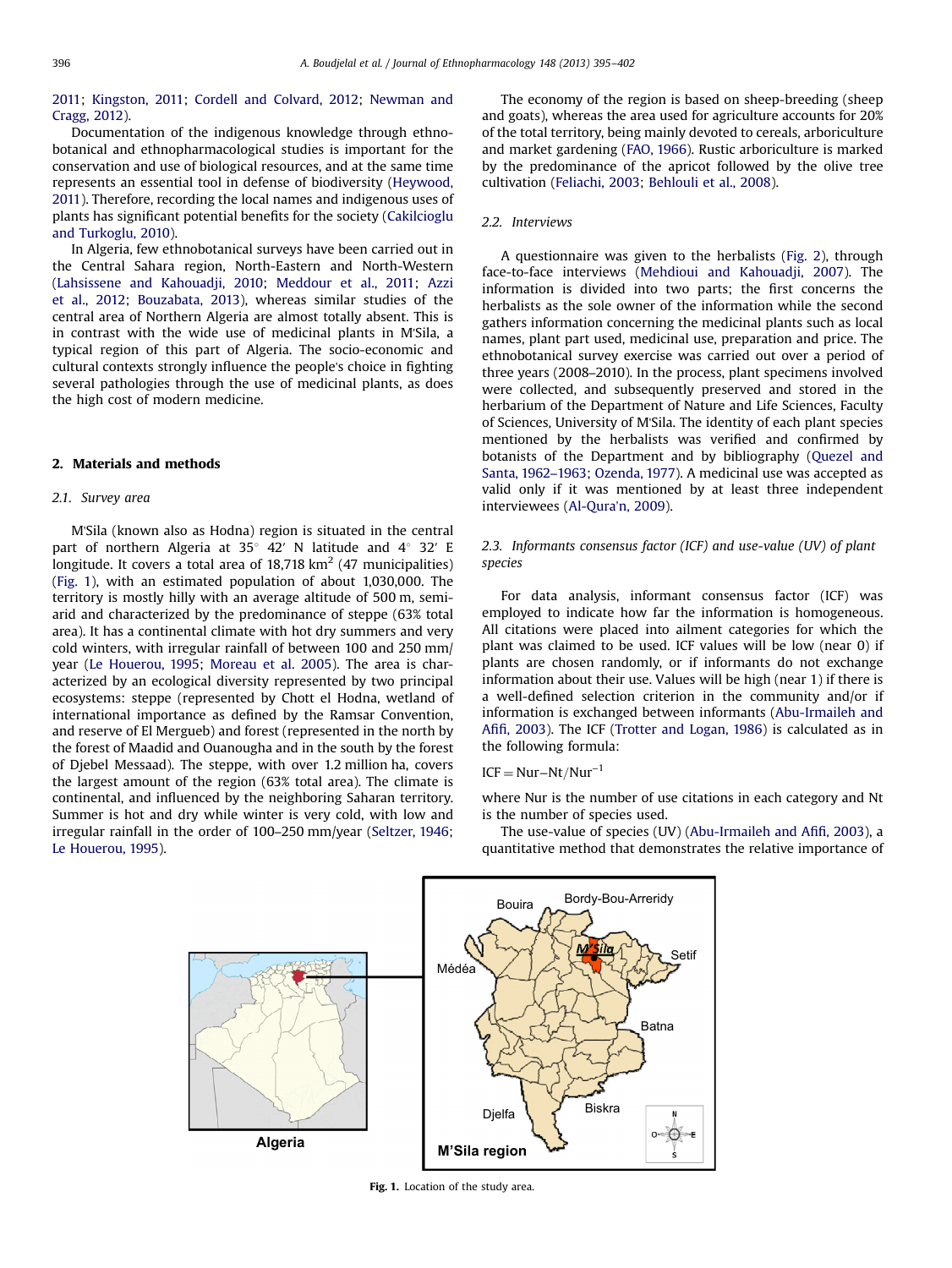[2011;](#page-6-0) [Kingston, 2011;](#page-6-0) [Cordell and Colvard, 2012](#page-6-0); [Newman and](#page-6-0) [Cragg, 2012](#page-6-0)).

Documentation of the indigenous knowledge through ethnobotanical and ethnopharmacological studies is important for the conservation and use of biological resources, and at the same time represents an essential tool in defense of biodiversity ([Heywood,](#page-6-0) [2011\)](#page-6-0). Therefore, recording the local names and indigenous uses of plants has significant potential benefits for the society [\(Cakilcioglu](#page-6-0) [and Turkoglu, 2010](#page-6-0)).

In Algeria, few ethnobotanical surveys have been carried out in the Central Sahara region, North-Eastern and North-Western ([Lahsissene and Kahouadji, 2010;](#page-6-0) [Meddour et al., 2011;](#page-6-0) [Azzi](#page-5-0) [et al., 2012;](#page-5-0) [Bouzabata, 2013](#page-6-0)), whereas similar studies of the central area of Northern Algeria are almost totally absent. This is in contrast with the wide use of medicinal plants in M'Sila, a typical region of this part of Algeria. The socio-economic and cultural contexts strongly influence the people's choice in fighting several pathologies through the use of medicinal plants, as does the high cost of modern medicine.

## 2. Materials and methods

#### 2.1. Survey area

M'Sila (known also as Hodna) region is situated in the central part of northern Algeria at  $35^{\circ}$  42' N latitude and  $4^{\circ}$  32' E longitude. It covers a total area of  $18,718$  km<sup>2</sup> (47 municipalities) (Fig. 1), with an estimated population of about 1,030,000. The territory is mostly hilly with an average altitude of 500 m, semiarid and characterized by the predominance of steppe (63% total area). It has a continental climate with hot dry summers and very cold winters, with irregular rainfall of between 100 and 250 mm/ year ([Le Houerou, 1995;](#page-6-0) [Moreau et al. 2005\)](#page-6-0). The area is characterized by an ecological diversity represented by two principal ecosystems: steppe (represented by Chott el Hodna, wetland of international importance as defined by the Ramsar Convention, and reserve of El Mergueb) and forest (represented in the north by the forest of Maadid and Ouanougha and in the south by the forest of Djebel Messaad). The steppe, with over 1.2 million ha, covers the largest amount of the region (63% total area). The climate is continental, and influenced by the neighboring Saharan territory. Summer is hot and dry while winter is very cold, with low and irregular rainfall in the order of 100–250 mm/year ([Seltzer, 1946;](#page-6-0) [Le Houerou, 1995](#page-6-0)).

The economy of the region is based on sheep-breeding (sheep and goats), whereas the area used for agriculture accounts for 20% of the total territory, being mainly devoted to cereals, arboriculture and market gardening [\(FAO, 1966\)](#page-6-0). Rustic arboriculture is marked by the predominance of the apricot followed by the olive tree cultivation ([Feliachi, 2003](#page-6-0); [Behlouli et al., 2008\)](#page-6-0).

## 2.2. Interviews

A questionnaire was given to the herbalists [\(Fig. 2\)](#page-2-0), through face-to-face interviews ([Mehdioui and Kahouadji, 2007](#page-6-0)). The information is divided into two parts; the first concerns the herbalists as the sole owner of the information while the second gathers information concerning the medicinal plants such as local names, plant part used, medicinal use, preparation and price. The ethnobotanical survey exercise was carried out over a period of three years (2008–2010). In the process, plant specimens involved were collected, and subsequently preserved and stored in the herbarium of the Department of Nature and Life Sciences, Faculty of Sciences, University of M'Sila. The identity of each plant species mentioned by the herbalists was verified and confirmed by botanists of the Department and by bibliography [\(Quezel and](#page-6-0) [Santa, 1962](#page-6-0)–1963; [Ozenda, 1977\)](#page-6-0). A medicinal use was accepted as valid only if it was mentioned by at least three independent interviewees ([Al-Qura](#page-5-0)'n, 2009).

# 2.3. Informants consensus factor (ICF) and use-value (UV) of plant species

For data analysis, informant consensus factor (ICF) was employed to indicate how far the information is homogeneous. All citations were placed into ailment categories for which the plant was claimed to be used. ICF values will be low (near 0) if plants are chosen randomly, or if informants do not exchange information about their use. Values will be high (near 1) if there is a well-defined selection criterion in the community and/or if information is exchanged between informants [\(Abu-Irmaileh and](#page-5-0) Afifi[, 2003\)](#page-5-0). The ICF [\(Trotter and Logan, 1986](#page-6-0)) is calculated as in the following formula:

 $ICF = Nur -Nt/Nur^{-1}$ 

where Nur is the number of use citations in each category and Nt is the number of species used.

The use-value of species (UV) ([Abu-Irmaileh and A](#page-5-0)fifi, 2003), a quantitative method that demonstrates the relative importance of



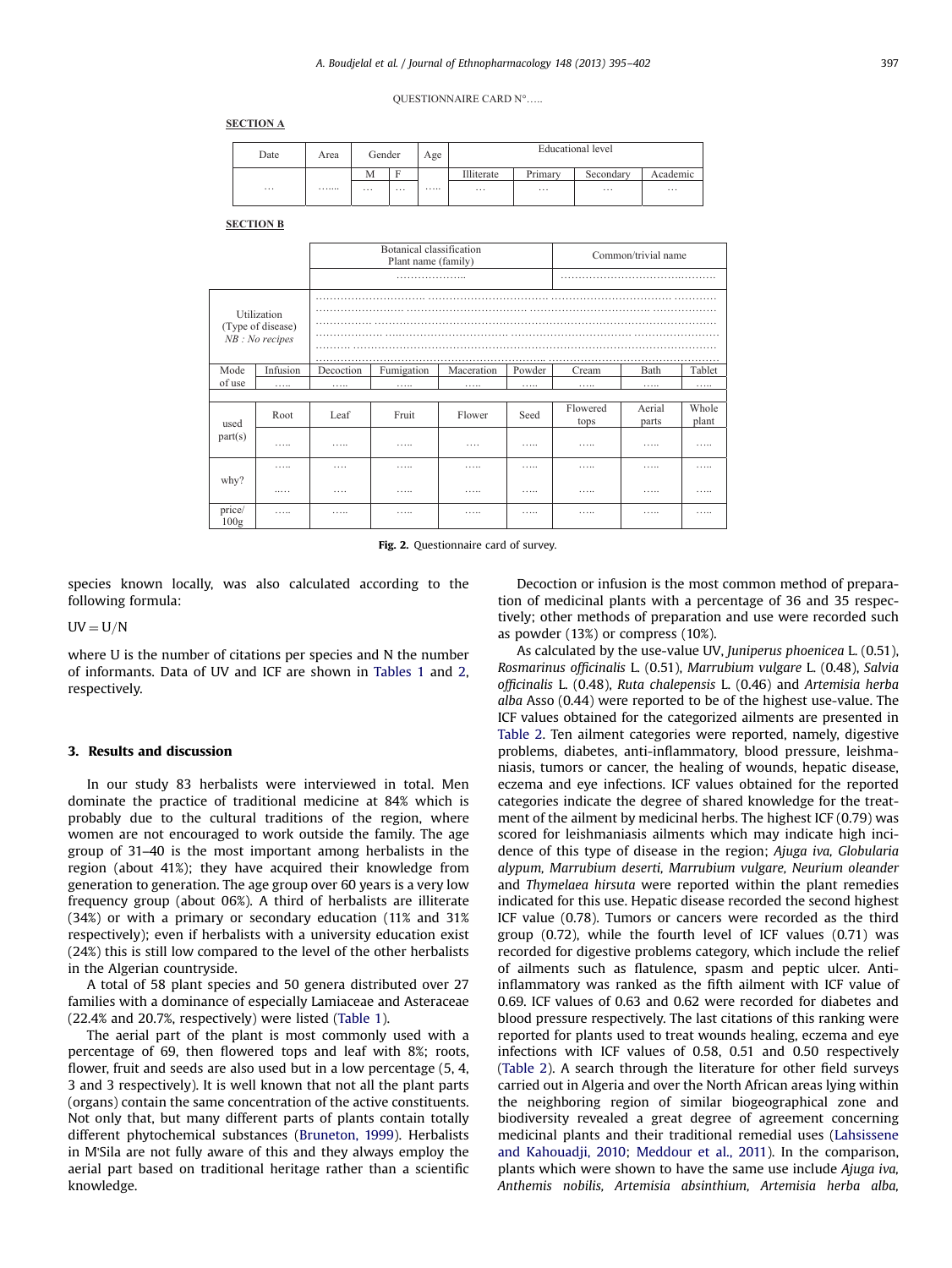QUESTIONNAIRE CARD N°…..

# <span id="page-2-0"></span>**SECTION A**

| Date     | Area |   | Educational level<br>Gender<br>Age |   |            |                          |           |          |
|----------|------|---|------------------------------------|---|------------|--------------------------|-----------|----------|
|          |      | М |                                    |   | Illiterate | $\mathbf{r}$ .<br>rimarv | Secondary | Academic |
| $\cdots$ | .    | . | $\cdots$                           | . | $\cdots$   | $\cdots$                 | $\cdots$  | $\cdots$ |

**SECTION B**

|                            |                                                     |           | Botanical classification<br>Plant name (family) | Common/trivial name |        |                  |                 |                |  |  |
|----------------------------|-----------------------------------------------------|-----------|-------------------------------------------------|---------------------|--------|------------------|-----------------|----------------|--|--|
|                            |                                                     |           | .                                               |                     |        |                  |                 |                |  |  |
|                            | Utilization<br>(Type of disease)<br>NB : No recipes | $\cdots$  |                                                 |                     |        |                  |                 |                |  |  |
| Mode                       | Infusion                                            | Decoction | Fumigation                                      | Maceration          | Powder | Cream            | Bath            | Tablet         |  |  |
| of use                     | .                                                   | .         | .                                               | .                   | .      | .                | .               | .              |  |  |
|                            |                                                     |           |                                                 |                     |        |                  |                 |                |  |  |
| used                       | Root                                                | Leaf      | Fruit                                           | Flower              | Seed   | Flowered<br>tops | Aerial<br>parts | Whole<br>plant |  |  |
| part(s)                    | .                                                   | .         | .                                               |                     | .      | .                | .               | .              |  |  |
| why?                       | .                                                   | .         | .                                               | .                   | .      | .                | .               | .              |  |  |
|                            |                                                     | .         | .                                               | .                   | .      | .                | .               | .              |  |  |
| price/<br>100 <sub>g</sub> | .                                                   | .         | .                                               | .                   | .      | .                | .               | .              |  |  |

Fig. 2. Ouestionnaire card of survey.

species known locally, was also calculated according to the following formula:

 $UV = U/N$ 

where U is the number of citations per species and N the number of informants. Data of UV and ICF are shown in [Tables 1](#page-3-0) and [2,](#page-5-0) respectively.

#### 3. Results and discussion

In our study 83 herbalists were interviewed in total. Men dominate the practice of traditional medicine at 84% which is probably due to the cultural traditions of the region, where women are not encouraged to work outside the family. The age group of 31–40 is the most important among herbalists in the region (about 41%); they have acquired their knowledge from generation to generation. The age group over 60 years is a very low frequency group (about 06%). A third of herbalists are illiterate (34%) or with a primary or secondary education (11% and 31% respectively); even if herbalists with a university education exist (24%) this is still low compared to the level of the other herbalists in the Algerian countryside.

A total of 58 plant species and 50 genera distributed over 27 families with a dominance of especially Lamiaceae and Asteraceae (22.4% and 20.7%, respectively) were listed ([Table 1](#page-3-0)).

The aerial part of the plant is most commonly used with a percentage of 69, then flowered tops and leaf with 8%; roots, flower, fruit and seeds are also used but in a low percentage (5, 4, 3 and 3 respectively). It is well known that not all the plant parts (organs) contain the same concentration of the active constituents. Not only that, but many different parts of plants contain totally different phytochemical substances [\(Bruneton, 1999\)](#page-6-0). Herbalists in M'Sila are not fully aware of this and they always employ the aerial part based on traditional heritage rather than a scientific knowledge.

Decoction or infusion is the most common method of preparation of medicinal plants with a percentage of 36 and 35 respectively; other methods of preparation and use were recorded such as powder (13%) or compress (10%).

As calculated by the use-value UV, Juniperus phoenicea L. (0.51), Rosmarinus officinalis L. (0.51), Marrubium vulgare L. (0.48), Salvia officinalis L. (0.48), Ruta chalepensis L. (0.46) and Artemisia herba alba Asso (0.44) were reported to be of the highest use-value. The ICF values obtained for the categorized ailments are presented in [Table 2](#page-5-0). Ten ailment categories were reported, namely, digestive problems, diabetes, anti-inflammatory, blood pressure, leishmaniasis, tumors or cancer, the healing of wounds, hepatic disease, eczema and eye infections. ICF values obtained for the reported categories indicate the degree of shared knowledge for the treatment of the ailment by medicinal herbs. The highest ICF (0.79) was scored for leishmaniasis ailments which may indicate high incidence of this type of disease in the region; Ajuga iva, Globularia alypum, Marrubium deserti, Marrubium vulgare, Neurium oleander and Thymelaea hirsuta were reported within the plant remedies indicated for this use. Hepatic disease recorded the second highest ICF value (0.78). Tumors or cancers were recorded as the third group (0.72), while the fourth level of ICF values (0.71) was recorded for digestive problems category, which include the relief of ailments such as flatulence, spasm and peptic ulcer. Antiinflammatory was ranked as the fifth ailment with ICF value of 0.69. ICF values of 0.63 and 0.62 were recorded for diabetes and blood pressure respectively. The last citations of this ranking were reported for plants used to treat wounds healing, eczema and eye infections with ICF values of 0.58, 0.51 and 0.50 respectively ([Table 2\)](#page-5-0). A search through the literature for other field surveys carried out in Algeria and over the North African areas lying within the neighboring region of similar biogeographical zone and biodiversity revealed a great degree of agreement concerning medicinal plants and their traditional remedial uses [\(Lahsissene](#page-6-0) [and Kahouadji, 2010;](#page-6-0) [Meddour et al., 2011](#page-6-0)). In the comparison, plants which were shown to have the same use include Ajuga iva, Anthemis nobilis, Artemisia absinthium, Artemisia herba alba,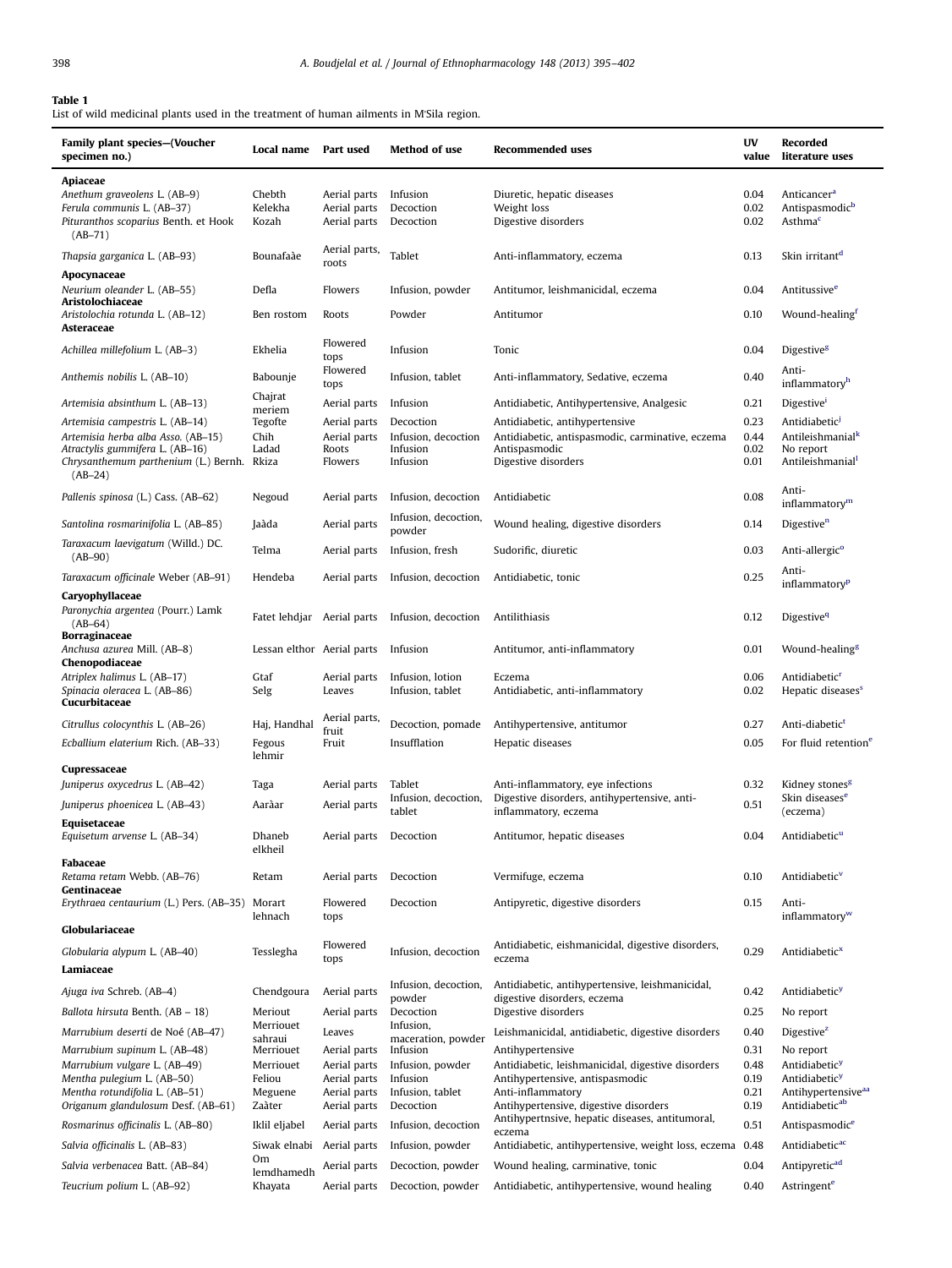# <span id="page-3-0"></span>Table 1

List of wild medicinal plants used in the treatment of human ailments in M'Sila region.

| <b>Family plant species-(Voucher</b><br>specimen no.)                                      | Local name                                                                                | Part used                    | <b>Method of use</b>                 | <b>Recommended uses</b>                                                                  | UV<br>value                | <b>Recorded</b><br>literature uses                         |
|--------------------------------------------------------------------------------------------|-------------------------------------------------------------------------------------------|------------------------------|--------------------------------------|------------------------------------------------------------------------------------------|----------------------------|------------------------------------------------------------|
| Apiaceae                                                                                   |                                                                                           |                              |                                      |                                                                                          |                            |                                                            |
| Anethum graveolens L. (AB-9)<br>Ferula communis L. (AB-37)                                 | Chebth<br>Kelekha                                                                         | Aerial parts<br>Aerial parts | Infusion<br>Decoction                | Diuretic, hepatic diseases<br>Weight loss                                                | 0.04<br>0.02               | Anticancer <sup>a</sup><br>Antispasmodic <sup>b</sup>      |
| Pituranthos scoparius Benth. et Hook<br>$(AB-71)$                                          | Kozah                                                                                     | Aerial parts                 | Decoction                            | Digestive disorders                                                                      | 0.02                       | Asthma <sup>c</sup>                                        |
| Thapsia garganica L. (AB-93)                                                               | Bounafaàe                                                                                 | Aerial parts,<br>roots       | Tablet                               | Anti-inflammatory, eczema                                                                | 0.13                       | Skin irritant <sup>d</sup>                                 |
| Apocynaceae<br>Neurium oleander L. (AB-55)<br>Aristolochiaceae                             | Defla                                                                                     | Flowers                      | Infusion, powder                     | Antitumor, leishmanicidal, eczema                                                        | 0.04                       | Antitussive <sup>e</sup>                                   |
| Aristolochia rotunda L. (AB-12)<br>Asteraceae                                              | Ben rostom                                                                                | Roots                        | Powder                               | Antitumor                                                                                | 0.10                       | Wound-healing <sup>t</sup>                                 |
| Achillea millefolium L. (AB-3)                                                             | Ekhelia                                                                                   | Flowered<br>tops             | Infusion                             | Tonic                                                                                    | 0.04                       | Digestive <sup>g</sup>                                     |
| Anthemis nobilis L. (AB-10)                                                                | Babounje                                                                                  | Flowered<br>tops             | Infusion, tablet                     | Anti-inflammatory, Sedative, eczema                                                      | 0.40                       | Anti-<br>inflammatory <sup>h</sup>                         |
| Artemisia absinthum L. (AB-13)                                                             | Chajrat                                                                                   | Aerial parts                 | Infusion                             | Antidiabetic, Antihypertensive, Analgesic                                                | 0.21                       | Digestive <sup>1</sup>                                     |
| Artemisia campestris L. (AB-14)                                                            | meriem<br>Tegofte                                                                         | Aerial parts                 | Decoction                            | Antidiabetic, antihypertensive                                                           | 0.23                       | Antidiabetic                                               |
| Artemisia herba alba Asso. (AB-15)                                                         | Chih                                                                                      | Aerial parts                 | Infusion, decoction                  | Antidiabetic, antispasmodic, carminative, eczema                                         | 0.44                       | Antileishmanial <sup>k</sup>                               |
| Atractylis gummifera L. (AB-16)<br>Chrysanthemum parthenium (L.) Bernh. Rkiza<br>$(AB-24)$ | Ladad                                                                                     | Roots<br>Flowers             | Infusion<br>Infusion                 | Antispasmodic<br>Digestive disorders                                                     | 0.02<br>0.01               | No report<br>Antileishmanial <sup>1</sup>                  |
| Pallenis spinosa (L.) Cass. (AB–62)                                                        | Negoud                                                                                    | Aerial parts                 | Infusion, decoction                  | Antidiabetic                                                                             | 0.08                       | Anti-<br>inflammatory <sup>m</sup>                         |
| Santolina rosmarinifolia L. (AB-85)                                                        | Jaàda                                                                                     | Aerial parts                 | Infusion, decoction,<br>powder       | Wound healing, digestive disorders                                                       | 0.14                       | Digestive <sup>n</sup>                                     |
| Taraxacum laevigatum (Willd.) DC.<br>$(AB-90)$                                             | Telma                                                                                     | Aerial parts                 | Infusion, fresh                      | Sudorific, diuretic                                                                      | 0.03                       | Anti-allergic <sup>o</sup>                                 |
| Taraxacum officinale Weber (AB-91)                                                         | Hendeba                                                                                   | Aerial parts                 | Infusion, decoction                  | Antidiabetic, tonic                                                                      | 0.25                       | Anti-<br>inflammatory <sup>p</sup>                         |
| Caryophyllaceae<br>Paronychia argentea (Pourr.) Lamk<br>$(AB-64)$                          | Fatet lehdjar Aerial parts                                                                |                              | Infusion, decoction                  | Antilithiasis                                                                            | 0.12                       | Digestive <sup>q</sup>                                     |
| Borraginaceae<br>Anchusa azurea Mill. (AB-8)<br>Chenopodiaceae                             | Lessan elthor Aerial parts                                                                |                              | Infusion                             | Antitumor, anti-inflammatory                                                             | 0.01                       | Wound-healing <sup>g</sup>                                 |
| Atriplex halimus L. (AB-17)<br>Spinacia oleracea L. (AB-86)<br>Cucurbitaceae               | Gtaf<br>Selg                                                                              | Aerial parts<br>Leaves       | Infusion, lotion<br>Infusion, tablet | Eczema<br>Antidiabetic, anti-inflammatory                                                | 0.06<br>0.02               | Antidiabetic <sup>r</sup><br>Hepatic diseases <sup>s</sup> |
| Citrullus colocynthis L. (AB-26)                                                           | Haj, Handhal                                                                              | Aerial parts,                | Decoction, pomade                    | Antihypertensive, antitumor                                                              | 0.27                       | Anti-diabetic <sup>t</sup>                                 |
| Ecballium elaterium Rich. (AB-33)                                                          | Fegous                                                                                    | fruit<br>Fruit               | Insufflation                         | Hepatic diseases                                                                         | 0.05                       | For fluid retention <sup>e</sup>                           |
| Cupressaceae                                                                               | lehmir                                                                                    |                              |                                      |                                                                                          |                            |                                                            |
| Juniperus oxycedrus L. (AB–42)                                                             | Taga                                                                                      | Aerial parts                 | Tablet                               | Anti-inflammatory, eye infections                                                        | 0.32                       | Kidney stones <sup>g</sup>                                 |
| Juniperus phoenicea L. (AB–43)                                                             | Aaràar                                                                                    | Aerial parts                 | Infusion, decoction,<br>tablet       | Digestive disorders, antihypertensive, anti-<br>inflammatory, eczema                     | 0.51                       | Skin diseases <sup>e</sup><br>(eczema)                     |
| Equisetaceae<br>Equisetum arvense L. (AB-34)                                               | Dhaneb<br>elkheil                                                                         | Aerial parts                 | Decoction                            | Antitumor, hepatic diseases                                                              | 0.04                       | Antidiabeticu                                              |
| Fabaceae<br>Retama retam Webb. (AB-76)                                                     | Retam                                                                                     | Aerial parts                 | Decoction                            | Vermifuge, eczema                                                                        | 0.10                       | Antidiabetic <sup>v</sup>                                  |
| Gentinaceae                                                                                |                                                                                           |                              |                                      |                                                                                          |                            |                                                            |
| Erythraea centaurium (L.) Pers. (AB-35) Morart<br>Globulariaceae                           | lehnach                                                                                   | Flowered<br>tops             | Decoction                            | Antipyretic, digestive disorders                                                         | 0.15                       | Anti-<br>inflammatory <sup>w</sup>                         |
|                                                                                            |                                                                                           | Flowered                     |                                      | Antidiabetic, eishmanicidal, digestive disorders,                                        |                            |                                                            |
| Globularia alypum L. (AB-40)<br>Lamiaceae                                                  | Tesslegha                                                                                 | tops                         | Infusion, decoction                  | eczema                                                                                   | 0.29                       | Antidiabetic <sup>x</sup>                                  |
| Ajuga iva Schreb. (AB-4)                                                                   | Chendgoura                                                                                | Aerial parts                 | Infusion, decoction,<br>powder       | Antidiabetic, antihypertensive, leishmanicidal,<br>digestive disorders, eczema           | 0.42                       | Antidiabeticy                                              |
| Ballota hirsuta Benth, (AB - 18)                                                           | Meriout                                                                                   | Aerial parts                 | Decoction                            | Digestive disorders                                                                      | 0.25                       | No report                                                  |
| Marrubium deserti de Noé (AB-47)                                                           | Merriouet                                                                                 | Leaves                       | Infusion,                            | Leishmanicidal, antidiabetic, digestive disorders                                        | 0.40                       | Digestive <sup>z</sup>                                     |
| Marrubium supinum L. (AB-48)                                                               | sahraui<br>Merriouet                                                                      | Aerial parts                 | maceration, powder<br>Infusion       | Antihypertensive                                                                         | 0.31                       | No report                                                  |
| Marrubium vulgare L. (AB-49)                                                               | Merriouet                                                                                 | Aerial parts                 | Infusion, powder                     | Antidiabetic, leishmanicidal, digestive disorders                                        | 0.48                       | Antidiabeticy                                              |
| Mentha pulegium L. (AB-50)                                                                 | Feliou                                                                                    | Aerial parts                 | Infusion                             | Antihypertensive, antispasmodic                                                          | 0.19                       | Antidiabeticy                                              |
| Mentha rotundifolia L. (AB-51)                                                             | Meguene                                                                                   | Aerial parts                 | Infusion, tablet                     | Anti-inflammatory                                                                        | 0.21                       | Antihypertensive <sup>aa</sup>                             |
| Origanum glandulosum Desf. (AB-61)                                                         | Zaàter                                                                                    | Aerial parts                 | Decoction                            | Antihypertensive, digestive disorders<br>Antihypertnsive, hepatic diseases, antitumoral, | 0.19                       | Antidiabetic <sup>ab</sup>                                 |
|                                                                                            | Rosmarinus officinalis L. (AB-80)<br>Iklil eljabel<br>Aerial parts<br>Infusion, decoction |                              | eczema                               | 0.51                                                                                     | Antispasmodic <sup>e</sup> |                                                            |
| Salvia officinalis L. (AB-83)                                                              | Siwak elnabi<br>Om                                                                        | Aerial parts                 | Infusion, powder                     | Antidiabetic, antihypertensive, weight loss, eczema                                      | 0.48                       | Antidiabetic <sup>ac</sup>                                 |
| Salvia verbenacea Batt. (AB-84)                                                            | lemdhamedh                                                                                | Aerial parts                 | Decoction, powder                    | Wound healing, carminative, tonic                                                        | 0.04                       | Antipyreticad                                              |
| Teucrium polium L. (AB-92)                                                                 | Khayata                                                                                   | Aerial parts                 | Decoction, powder                    | Antidiabetic, antihypertensive, wound healing                                            | 0.40                       | Astringent <sup>e</sup>                                    |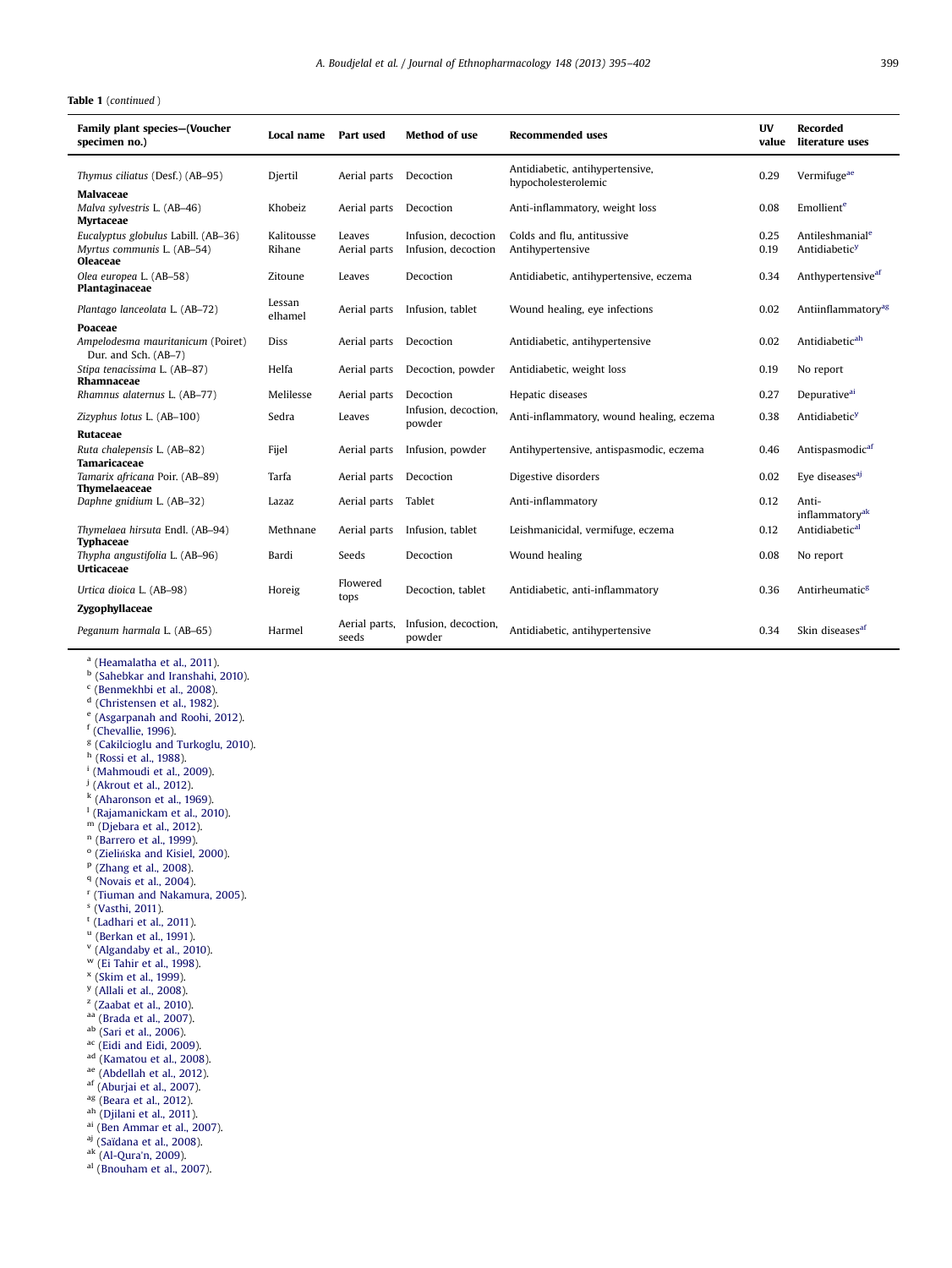### <span id="page-4-0"></span>Table 1 (continued )

Ĭ.

| Family plant species-(Voucher<br>specimen no.)                                       | Local name           | Part used              | Method of use                              | <b>Recommended uses</b>                                | UV<br>value  | Recorded<br>literature uses                              |
|--------------------------------------------------------------------------------------|----------------------|------------------------|--------------------------------------------|--------------------------------------------------------|--------------|----------------------------------------------------------|
| Thymus ciliatus (Desf.) (AB-95)                                                      | Djertil              | Aerial parts           | Decoction                                  | Antidiabetic, antihypertensive,<br>hypocholesterolemic | 0.29         | Vermifuge <sup>ae</sup>                                  |
| Malvaceae<br>Malva sylvestris L. (AB-46)<br><b>Myrtaceae</b>                         | Khobeiz              | Aerial parts           | Decoction                                  | Anti-inflammatory, weight loss                         | 0.08         | Emollient <sup>e</sup>                                   |
| Eucalyptus globulus Labill. (AB-36)<br>Myrtus communis L. (AB-54)<br><b>Oleaceae</b> | Kalitousse<br>Rihane | Leaves<br>Aerial parts | Infusion, decoction<br>Infusion, decoction | Colds and flu, antitussive<br>Antihypertensive         | 0.25<br>0.19 | Antileshmanial <sup>e</sup><br>Antidiabetic <sup>y</sup> |
| Olea europea L. (AB-58)<br>Plantaginaceae                                            | Zitoune              | Leaves                 | Decoction                                  | Antidiabetic, antihypertensive, eczema                 | 0.34         | Anthypertensive <sup>af</sup>                            |
| Plantago lanceolata L. (AB-72)                                                       | Lessan<br>elhamel    | Aerial parts           | Infusion, tablet                           | Wound healing, eye infections<br>0.02                  |              | Antiinflammatory <sup>ag</sup>                           |
| Poaceae<br>Ampelodesma mauritanicum (Poiret)<br>Dur, and Sch. (AB-7)                 | <b>Diss</b>          | Aerial parts           | Decoction                                  | Antidiabetic, antihypertensive                         | 0.02         | Antidiabeticah                                           |
| Stipa tenacissima L. (AB-87)<br>Rhamnaceae                                           | Helfa                | Aerial parts           | Decoction, powder                          | Antidiabetic, weight loss                              | 0.19         | No report                                                |
| Rhamnus alaternus L. (AB-77)                                                         | Melilesse            | Aerial parts           | Decoction                                  | Hepatic diseases                                       | 0.27         | Depurative <sup>ai</sup>                                 |
| Zizyphus lotus L. (AB-100)                                                           | Sedra                | Leaves                 | Infusion, decoction,<br>powder             | Anti-inflammatory, wound healing, eczema               | 0.38         | Antidiabetic <sup>y</sup>                                |
| Rutaceae                                                                             |                      |                        |                                            |                                                        |              |                                                          |
| Ruta chalepensis L. (AB-82)<br>Tamaricaceae                                          | Fijel                | Aerial parts           | Infusion, powder                           | Antihypertensive, antispasmodic, eczema                | 0.46         | Antispasmodic <sup>af</sup>                              |
| Tamarix africana Poir. (AB-89)<br>Thymelaeaceae                                      | Tarfa                | Aerial parts           | Decoction                                  | Digestive disorders                                    | 0.02         | Eye diseases <sup>aj</sup>                               |
| Daphne gnidium L. (AB-32)                                                            | Lazaz                | Aerial parts           | Tablet                                     | Anti-inflammatory                                      |              | Anti-<br>inflammatory <sup>ak</sup>                      |
| Thymelaea hirsuta Endl. (AB-94)<br><b>Typhaceae</b>                                  | Methnane             | Aerial parts           | Infusion, tablet                           | Leishmanicidal, vermifuge, eczema                      | 0.12         | Antidiabetical                                           |
| Thypha angustifolia L. (AB-96)<br><b>Urticaceae</b>                                  | Bardi                | Seeds                  | Decoction                                  | Wound healing                                          | 0.08         | No report                                                |
| Urtica dioica L. (AB-98)<br>Horeig                                                   |                      | Flowered<br>tops       | Decoction, tablet                          | Antidiabetic, anti-inflammatory                        | 0.36         | Antirheumatic <sup>g</sup>                               |
| Zygophyllaceae                                                                       |                      |                        |                                            |                                                        |              |                                                          |
| Peganum harmala L. (AB-65)                                                           | Harmel               | Aerial parts,<br>seeds | Infusion, decoction.<br>powder             | Antidiabetic, antihypertensive                         | 0.34         | Skin diseases <sup>af</sup>                              |

<sup>a</sup> ([Heamalatha et al., 2011](#page-6-0)).

**b** [\(Sahebkar and Iranshahi, 2010](#page-6-0)).

<sup>c</sup> ([Benmekhbi et al., 2008](#page-6-0)).

<sup>d</sup> [\(Christensen et al., 1982](#page-6-0)).

- <sup>e</sup> ([Asgarpanah and Roohi, 2012](#page-5-0)).
- $f$  ([Chevallie, 1996](#page-6-0)).
- <sup>g</sup> ([Cakilcioglu and Turkoglu, 2010](#page-6-0)).
- <sup>h</sup> [\(Rossi et al., 1988\)](#page-6-0).
- <sup>i</sup> ([Mahmoudi et al., 2009](#page-6-0)).
- $<sup>j</sup>$  ([Akrout et al., 2012](#page-5-0)).</sup>
- $k$  ([Aharonson et al., 1969\)](#page-5-0).
- <sup>l</sup> ([Rajamanickam et al., 2010](#page-6-0)).
- m ([Djebara et al., 2012\)](#page-6-0).
- 
- $n$  [\(Barrero et al., 1999\)](#page-5-0).
- <sup>o</sup> (Zieliń[ska and Kisiel, 2000\)](#page-7-0). <sup>p</sup> [\(Zhang et al., 2008](#page-7-0)).
- 
- <sup>q</sup> [\(Novais et al., 2004\)](#page-6-0).
- <sup>r</sup> [\(Tiuman and Nakamura, 2005](#page-6-0)).
- <sup>s</sup> [\(Vasthi, 2011](#page-6-0)).
- <sup>t</sup> [\(Ladhari et al., 2011\)](#page-6-0).
- <sup>u</sup> [\(Berkan et al., 1991](#page-6-0)).
- <sup>v</sup> ([Algandaby et al., 2010](#page-5-0)).
- <sup>w</sup> [\(Ei Tahir et al., 1998\)](#page-6-0).
- <sup>x</sup> ([Skim et al., 1999](#page-6-0)).
- <sup>y</sup> ([Allali et al., 2008\)](#page-5-0).
- $z$  ([Zaabat et al., 2010](#page-7-0)).
- aa [\(Brada et al., 2007\)](#page-6-0).
- ab ([Sari et al., 2006](#page-6-0)).
- ac [\(Eidi and Eidi, 2009](#page-6-0)).
- ad ([Kamatou et al., 2008](#page-6-0)).
- ae [\(Abdellah et al., 2012\)](#page-5-0).
- $F<sup>af</sup>$  [\(Aburjai et al., 2007\)](#page-5-0).
- $a$ g [\(Beara et al., 2012\)](#page-6-0).
- $\frac{ab}{c}$  ([Djilani et al., 2011\)](#page-6-0).
- $\frac{a_1}{a_1}$  [\(Ben Ammar et al., 2007\)](#page-6-0).
- <sup>aj</sup> [\(Saïdana et al., 2008\)](#page-6-0).
- <sup>ak</sup> (Al-Qura'[n, 2009\)](#page-5-0).
- $aI$  [\(Bnouham et al., 2007\)](#page-6-0).
-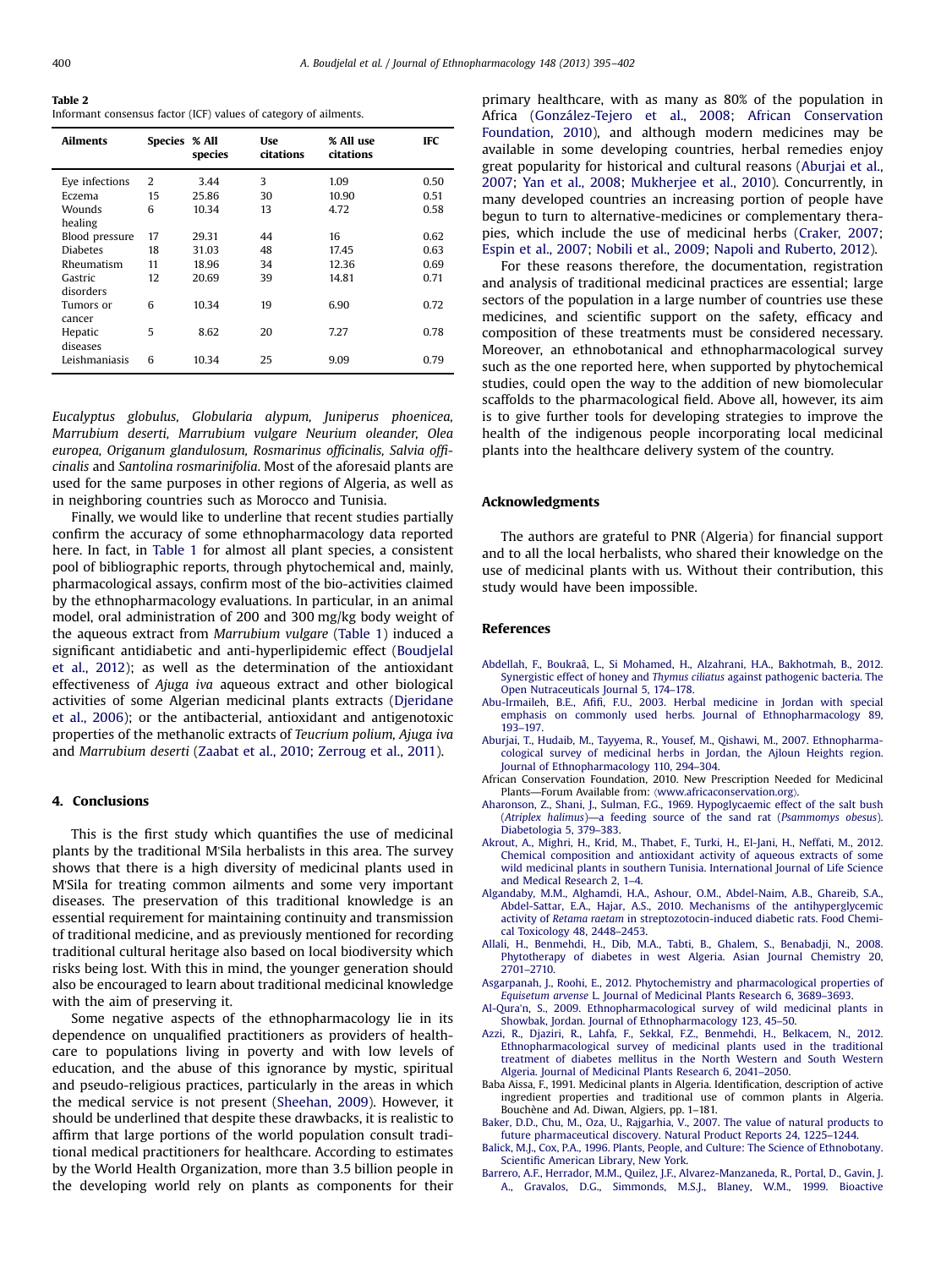<span id="page-5-0"></span>

| Table 2                                                          |  |  |
|------------------------------------------------------------------|--|--|
| Informant consensus factor (ICF) values of category of ailments. |  |  |

| <b>Ailments</b> | Species % All | species | <b>Use</b><br>citations | % All use<br>citations | <b>IFC</b> |
|-----------------|---------------|---------|-------------------------|------------------------|------------|
| Eye infections  | $\mathcal{L}$ | 3.44    | 3                       | 1.09                   | 0.50       |
| Eczema          | 15            | 25.86   | 30                      | 10.90                  | 0.51       |
| Wounds          | 6             | 10.34   | 13                      | 4.72                   | 0.58       |
| healing         |               |         |                         |                        |            |
| Blood pressure  | 17            | 29.31   | 44                      | 16                     | 0.62       |
| <b>Diabetes</b> | 18            | 31.03   | 48                      | 17.45                  | 0.63       |
| Rheumatism      | 11            | 18.96   | 34                      | 12.36                  | 0.69       |
| Gastric         | 12            | 20.69   | 39                      | 14.81                  | 0.71       |
| disorders       |               |         |                         |                        |            |
| Tumors or       | 6             | 10.34   | 19                      | 6.90                   | 0.72       |
| cancer          |               |         |                         |                        |            |
| Hepatic         | 5             | 8.62    | 20                      | 7.27                   | 0.78       |
| diseases        |               |         |                         |                        |            |
| Leishmaniasis   | 6             | 10.34   | 25                      | 9.09                   | 0.79       |

Eucalyptus globulus, Globularia alypum, Juniperus phoenicea, Marrubium deserti, Marrubium vulgare Neurium oleander, Olea europea, Origanum glandulosum, Rosmarinus officinalis, Salvia officinalis and Santolina rosmarinifolia. Most of the aforesaid plants are used for the same purposes in other regions of Algeria, as well as in neighboring countries such as Morocco and Tunisia.

Finally, we would like to underline that recent studies partially confirm the accuracy of some ethnopharmacology data reported here. In fact, in [Table 1](#page-3-0) for almost all plant species, a consistent pool of bibliographic reports, through phytochemical and, mainly, pharmacological assays, confirm most of the bio-activities claimed by the ethnopharmacology evaluations. In particular, in an animal model, oral administration of 200 and 300 mg/kg body weight of the aqueous extract from Marrubium vulgare ([Table 1\)](#page-3-0) induced a significant antidiabetic and anti-hyperlipidemic effect [\(Boudjelal](#page-6-0) [et al., 2012](#page-6-0)); as well as the determination of the antioxidant effectiveness of Ajuga iva aqueous extract and other biological activities of some Algerian medicinal plants extracts ([Djeridane](#page-6-0) [et al., 2006](#page-6-0)); or the antibacterial, antioxidant and antigenotoxic properties of the methanolic extracts of Teucrium polium, Ajuga iva and Marrubium deserti [\(Zaabat et al., 2010;](#page-7-0) [Zerroug et al., 2011\)](#page-7-0).

### 4. Conclusions

This is the first study which quantifies the use of medicinal plants by the traditional M'Sila herbalists in this area. The survey shows that there is a high diversity of medicinal plants used in M'Sila for treating common ailments and some very important diseases. The preservation of this traditional knowledge is an essential requirement for maintaining continuity and transmission of traditional medicine, and as previously mentioned for recording traditional cultural heritage also based on local biodiversity which risks being lost. With this in mind, the younger generation should also be encouraged to learn about traditional medicinal knowledge with the aim of preserving it.

Some negative aspects of the ethnopharmacology lie in its dependence on unqualified practitioners as providers of healthcare to populations living in poverty and with low levels of education, and the abuse of this ignorance by mystic, spiritual and pseudo-religious practices, particularly in the areas in which the medical service is not present [\(Sheehan, 2009\)](#page-6-0). However, it should be underlined that despite these drawbacks, it is realistic to affirm that large portions of the world population consult traditional medical practitioners for healthcare. According to estimates by the World Health Organization, more than 3.5 billion people in the developing world rely on plants as components for their primary healthcare, with as many as 80% of the population in Africa ([González-Tejero et al., 2008](#page-6-0); African Conservation Foundation, 2010), and although modern medicines may be available in some developing countries, herbal remedies enjoy great popularity for historical and cultural reasons (Aburjai et al., 2007; [Yan et al., 2008;](#page-7-0) [Mukherjee et al., 2010\)](#page-6-0). Concurrently, in many developed countries an increasing portion of people have begun to turn to alternative-medicines or complementary therapies, which include the use of medicinal herbs [\(Craker, 2007;](#page-6-0) [Espin et al., 2007;](#page-6-0) [Nobili et al., 2009](#page-6-0); [Napoli and Ruberto, 2012](#page-6-0)).

For these reasons therefore, the documentation, registration and analysis of traditional medicinal practices are essential; large sectors of the population in a large number of countries use these medicines, and scientific support on the safety, efficacy and composition of these treatments must be considered necessary. Moreover, an ethnobotanical and ethnopharmacological survey such as the one reported here, when supported by phytochemical studies, could open the way to the addition of new biomolecular scaffolds to the pharmacological field. Above all, however, its aim is to give further tools for developing strategies to improve the health of the indigenous people incorporating local medicinal plants into the healthcare delivery system of the country.

# Acknowledgments

The authors are grateful to PNR (Algeria) for financial support and to all the local herbalists, who shared their knowledge on the use of medicinal plants with us. Without their contribution, this study would have been impossible.

#### References

- [Abdellah, F., Boukraâ, L., Si Mohamed, H., Alzahrani, H.A., Bakhotmah, B., 2012.](http://refhub.elsevier.com/S0378-8741(13)00261-4/sbref1) Synergistic effect of honey and Thymus ciliatus [against pathogenic bacteria. The](http://refhub.elsevier.com/S0378-8741(13)00261-4/sbref1) [Open Nutraceuticals Journal 5, 174](http://refhub.elsevier.com/S0378-8741(13)00261-4/sbref1)–178.
- Abu-Irmaileh, B.E., Afifi[, F.U., 2003. Herbal medicine in Jordan with special](http://refhub.elsevier.com/S0378-8741(13)00261-4/sbref2) [emphasis on commonly used herbs. Journal of Ethnopharmacology 89,](http://refhub.elsevier.com/S0378-8741(13)00261-4/sbref2) 193–[197.](http://refhub.elsevier.com/S0378-8741(13)00261-4/sbref2)
- [Aburjai, T., Hudaib, M., Tayyema, R., Yousef, M., Qishawi, M., 2007. Ethnopharma](http://refhub.elsevier.com/S0378-8741(13)00261-4/sbref3)[cological survey of medicinal herbs in Jordan, the Ajloun Heights region.](http://refhub.elsevier.com/S0378-8741(13)00261-4/sbref3) [Journal of Ethnopharmacology 110, 294](http://refhub.elsevier.com/S0378-8741(13)00261-4/sbref3)–304.
- African Conservation Foundation, 2010. New Prescription Needed for Medicinal Plants—Forum Available from: 〈[www.africaconservation.org]()www.africaconservation.org*)〉.
- [Aharonson, Z., Shani, J., Sulman, F.G., 1969. Hypoglycaemic effect of the salt bush](http://refhub.elsevier.com/S0378-8741(13)00261-4/sbref4) (Atriplex halimus)—[a feeding source of the sand rat \(](http://refhub.elsevier.com/S0378-8741(13)00261-4/sbref4)Psammomys obesus). [Diabetologia 5, 379](http://refhub.elsevier.com/S0378-8741(13)00261-4/sbref4)–383.
- [Akrout, A., Mighri, H., Krid, M., Thabet, F., Turki, H., El-Jani, H., Neffati, M., 2012.](http://refhub.elsevier.com/S0378-8741(13)00261-4/sbref6) [Chemical composition and antioxidant activity of aqueous extracts of some](http://refhub.elsevier.com/S0378-8741(13)00261-4/sbref6) [wild medicinal plants in southern Tunisia. International Journal of Life Science](http://refhub.elsevier.com/S0378-8741(13)00261-4/sbref6) [and Medical Research 2, 1](http://refhub.elsevier.com/S0378-8741(13)00261-4/sbref6)–4.
- [Algandaby, M.M., Alghamdi, H.A., Ashour, O.M., Abdel-Naim, A.B., Ghareib, S.A.,](http://refhub.elsevier.com/S0378-8741(13)00261-4/sbref7) [Abdel-Sattar, E.A., Hajar, A.S., 2010. Mechanisms of the antihyperglycemic](http://refhub.elsevier.com/S0378-8741(13)00261-4/sbref7) activity of Retama raetam [in streptozotocin-induced diabetic rats. Food Chemi](http://refhub.elsevier.com/S0378-8741(13)00261-4/sbref7)[cal Toxicology 48, 2448](http://refhub.elsevier.com/S0378-8741(13)00261-4/sbref7)–2453.
- [Allali, H., Benmehdi, H., Dib, M.A., Tabti, B., Ghalem, S., Benabadji, N., 2008.](http://refhub.elsevier.com/S0378-8741(13)00261-4/sbref8) [Phytotherapy of diabetes in west Algeria. Asian Journal Chemistry 20,](http://refhub.elsevier.com/S0378-8741(13)00261-4/sbref8) 2701–[2710.](http://refhub.elsevier.com/S0378-8741(13)00261-4/sbref8)
- [Asgarpanah, J., Roohi, E., 2012. Phytochemistry and pharmacological properties of](http://refhub.elsevier.com/S0378-8741(13)00261-4/sbref9) Equisetum arvense [L. Journal of Medicinal Plants Research 6, 3689](http://refhub.elsevier.com/S0378-8741(13)00261-4/sbref9)–3693.
- Al-Qura'[n, S., 2009. Ethnopharmacological survey of wild medicinal plants in](http://refhub.elsevier.com/S0378-8741(13)00261-4/sbref10) [Showbak, Jordan. Journal of Ethnopharmacology 123, 45](http://refhub.elsevier.com/S0378-8741(13)00261-4/sbref10)–50.
- [Azzi, R., Djaziri, R., Lahfa, F., Sekkal, F.Z., Benmehdi, H., Belkacem, N., 2012.](http://refhub.elsevier.com/S0378-8741(13)00261-4/sbref11) [Ethnopharmacological survey of medicinal plants used in the traditional](http://refhub.elsevier.com/S0378-8741(13)00261-4/sbref11) [treatment of diabetes mellitus in the North Western and South Western](http://refhub.elsevier.com/S0378-8741(13)00261-4/sbref11) [Algeria. Journal of Medicinal Plants Research 6, 2041](http://refhub.elsevier.com/S0378-8741(13)00261-4/sbref11)–2050.
- Baba Aissa, F., 1991. Medicinal plants in Algeria. Identification, description of active ingredient properties and traditional use of common plants in Algeria. Bouchène and Ad. Diwan, Algiers, pp. 1–181.
- [Baker, D.D., Chu, M., Oza, U., Rajgarhia, V., 2007. The value of natural products to](http://refhub.elsevier.com/S0378-8741(13)00261-4/sbref12) [future pharmaceutical discovery. Natural Product Reports 24, 1225](http://refhub.elsevier.com/S0378-8741(13)00261-4/sbref12)–1244.
- [Balick, M.J., Cox, P.A., 1996. Plants, People, and Culture: The Science of Ethnobotany.](http://refhub.elsevier.com/S0378-8741(13)00261-4/sbref13) Scientifi[c American Library, New York.](http://refhub.elsevier.com/S0378-8741(13)00261-4/sbref13)
- [Barrero, A.F., Herrador, M.M., Quilez, J.F., Alvarez-Manzaneda, R., Portal, D., Gavin, J.](http://refhub.elsevier.com/S0378-8741(13)00261-4/sbref14) [A., Gravalos, D.G., Simmonds, M.S.J., Blaney, W.M., 1999. Bioactive](http://refhub.elsevier.com/S0378-8741(13)00261-4/sbref14)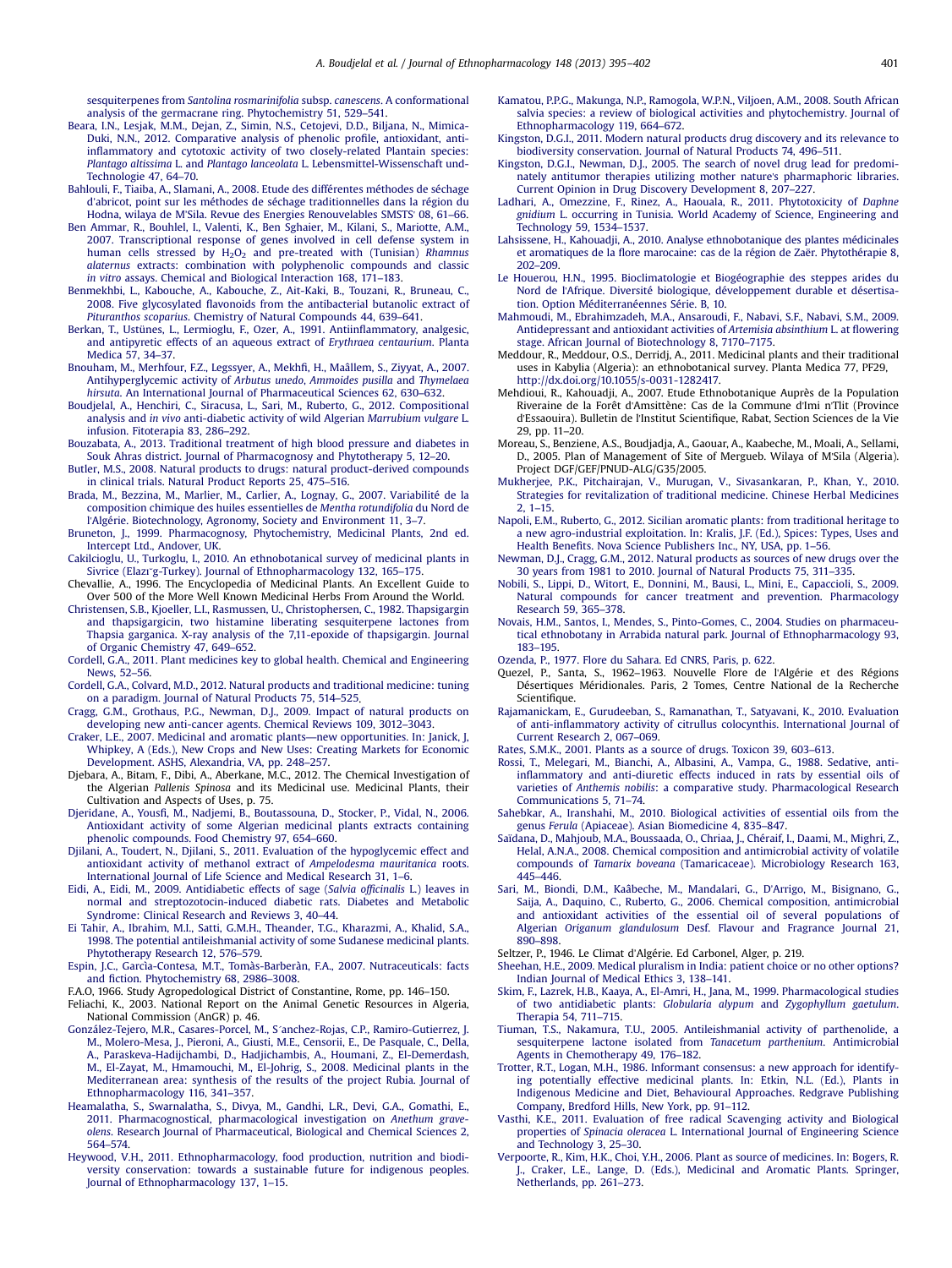<span id="page-6-0"></span>sesquiterpenes from [Santolina rosmarinifolia](http://refhub.elsevier.com/S0378-8741(13)00261-4/sbref14) subsp. canescens. A conformational [analysis of the germacrane ring. Phytochemistry 51, 529](http://refhub.elsevier.com/S0378-8741(13)00261-4/sbref14)–541.

- [Beara, I.N., Lesjak, M.M., Dejan, Z., Simin, N.S., Cetojevi, D.D., Biljana, N., Mimica-](http://refhub.elsevier.com/S0378-8741(13)00261-4/sbref15)[Duki, N.N., 2012. Comparative analysis of phenolic pro](http://refhub.elsevier.com/S0378-8741(13)00261-4/sbref15)file, antioxidant, antiinfl[ammatory and cytotoxic activity of two closely-related Plantain species:](http://refhub.elsevier.com/S0378-8741(13)00261-4/sbref15) Plantago altissima L. and Plantago lanceolata [L. Lebensmittel-Wissenschaft und-](http://refhub.elsevier.com/S0378-8741(13)00261-4/sbref15)[Technologie 47, 64](http://refhub.elsevier.com/S0378-8741(13)00261-4/sbref15)–70.
- [Bahlouli, F., Tiaiba, A., Slamani, A., 2008. Etude des différentes méthodes de séchage](http://refhub.elsevier.com/S0378-8741(13)00261-4/sbref181) d'[abricot, point sur les méthodes de séchage traditionnelles dans la région du](http://refhub.elsevier.com/S0378-8741(13)00261-4/sbref181) Hodna, wilaya de M'[Sila. Revue des Energies Renouvelables SMSTS](http://refhub.elsevier.com/S0378-8741(13)00261-4/sbref181)' 08, 61–66.
- [Ben Ammar, R., Bouhlel, I., Valenti, K., Ben Sghaier, M., Kilani, S., Mariotte, A.M.,](http://refhub.elsevier.com/S0378-8741(13)00261-4/sbref17) [2007. Transcriptional response of genes involved in cell defense system in](http://refhub.elsevier.com/S0378-8741(13)00261-4/sbref17) human cells stressed by  $H_2O_2$  [and pre-treated with \(Tunisian\)](http://refhub.elsevier.com/S0378-8741(13)00261-4/sbref17) Rhamnus alaternus [extracts: combination with polyphenolic compounds and classic](http://refhub.elsevier.com/S0378-8741(13)00261-4/sbref17) in vitro [assays. Chemical and Biological Interaction 168, 171](http://refhub.elsevier.com/S0378-8741(13)00261-4/sbref17)–183.
- [Benmekhbi, L., Kabouche, A., Kabouche, Z., Ait-Kaki, B., Touzani, R., Bruneau, C.,](http://refhub.elsevier.com/S0378-8741(13)00261-4/sbref18) 2008. Five glycosylated fl[avonoids from the antibacterial butanolic extract of](http://refhub.elsevier.com/S0378-8741(13)00261-4/sbref18) Pituranthos scoparius[. Chemistry of Natural Compounds 44, 639](http://refhub.elsevier.com/S0378-8741(13)00261-4/sbref18)–641.
- [Berkan, T., Ustünes, L., Lermioglu, F., Ozer, A., 1991. Antiin](http://refhub.elsevier.com/S0378-8741(13)00261-4/sbref19)flammatory, analgesic, [and antipyretic effects of an aqueous extract of](http://refhub.elsevier.com/S0378-8741(13)00261-4/sbref19) Erythraea centaurium. Planta [Medica 57, 34](http://refhub.elsevier.com/S0378-8741(13)00261-4/sbref19)–37.
- [Bnouham, M., Merhfour, F.Z., Legssyer, A., Mekh](http://refhub.elsevier.com/S0378-8741(13)00261-4/sbref20)fi, H., Maâllem, S., Ziyyat, A., 2007. [Antihyperglycemic activity of](http://refhub.elsevier.com/S0378-8741(13)00261-4/sbref20) Arbutus unedo, Ammoides pusilla and Thymelaea hirsuta[. An International Journal of Pharmaceutical Sciences 62, 630](http://refhub.elsevier.com/S0378-8741(13)00261-4/sbref20)–632.
- [Boudjelal, A., Henchiri, C., Siracusa, L., Sari, M., Ruberto, G., 2012. Compositional](http://refhub.elsevier.com/S0378-8741(13)00261-4/sbref21) analysis and in vivo [anti-diabetic activity of wild Algerian](http://refhub.elsevier.com/S0378-8741(13)00261-4/sbref21) Marrubium vulgare L. [infusion. Fitoterapia 83, 286](http://refhub.elsevier.com/S0378-8741(13)00261-4/sbref21)–292.
- [Bouzabata, A., 2013. Traditional treatment of high blood pressure and diabetes in](http://refhub.elsevier.com/S0378-8741(13)00261-4/sbref22) [Souk Ahras district. Journal of Pharmacognosy and Phytotherapy 5, 12](http://refhub.elsevier.com/S0378-8741(13)00261-4/sbref22)–20.
- [Butler, M.S., 2008. Natural products to drugs: natural product-derived compounds](http://refhub.elsevier.com/S0378-8741(13)00261-4/sbref23) [in clinical trials. Natural Product Reports 25, 475](http://refhub.elsevier.com/S0378-8741(13)00261-4/sbref23)–516.
- [Brada, M., Bezzina, M., Marlier, M., Carlier, A., Lognay, G., 2007. Variabilité de la](http://refhub.elsevier.com/S0378-8741(13)00261-4/sbref24) [composition chimique des huiles essentielles de](http://refhub.elsevier.com/S0378-8741(13)00261-4/sbref24) Mentha rotundifolia du Nord de l'[Algérie. Biotechnology, Agronomy, Society and Environment 11, 3](http://refhub.elsevier.com/S0378-8741(13)00261-4/sbref24)-7.

[Bruneton, J., 1999. Pharmacognosy, Phytochemistry, Medicinal Plants, 2nd ed.](http://refhub.elsevier.com/S0378-8741(13)00261-4/sbref25) [Intercept Ltd., Andover, UK.](http://refhub.elsevier.com/S0378-8741(13)00261-4/sbref25)

[Cakilcioglu, U., Turkoglu, I., 2010. An ethnobotanical survey of medicinal plants in](http://refhub.elsevier.com/S0378-8741(13)00261-4/sbref26) Sivrice (Elazı˘[g-Turkey\). Journal of Ethnopharmacology 132, 165](http://refhub.elsevier.com/S0378-8741(13)00261-4/sbref26)–175.

- Chevallie, A., 1996. The Encyclopedia of Medicinal Plants. An Excellent Guide to Over 500 of the More Well Known Medicinal Herbs From Around the World.
- [Christensen, S.B., Kjoeller, L.I., Rasmussen, U., Christophersen, C., 1982. Thapsigargin](http://refhub.elsevier.com/S0378-8741(13)00261-4/sbref27) [and thapsigargicin, two histamine liberating sesquiterpene lactones from](http://refhub.elsevier.com/S0378-8741(13)00261-4/sbref27) [Thapsia garganica. X-ray analysis of the 7,11-epoxide of thapsigargin. Journal](http://refhub.elsevier.com/S0378-8741(13)00261-4/sbref27) [of Organic Chemistry 47, 649](http://refhub.elsevier.com/S0378-8741(13)00261-4/sbref27)–652.
- [Cordell, G.A., 2011. Plant medicines key to global health. Chemical and Engineering](http://refhub.elsevier.com/S0378-8741(13)00261-4/sbref28) [News, 52](http://refhub.elsevier.com/S0378-8741(13)00261-4/sbref28)–56.
- [Cordell, G.A., Colvard, M.D., 2012. Natural products and traditional medicine: tuning](http://refhub.elsevier.com/S0378-8741(13)00261-4/sbref29) [on a paradigm. Journal of Natural Products 75, 514](http://refhub.elsevier.com/S0378-8741(13)00261-4/sbref29)–525.
- [Cragg, G.M., Grothaus, P.G., Newman, D.J., 2009. Impact of natural products on](http://refhub.elsevier.com/S0378-8741(13)00261-4/sbref30) [developing new anti-cancer agents. Chemical Reviews 109, 3012](http://refhub.elsevier.com/S0378-8741(13)00261-4/sbref30)–3043.
- [Craker, L.E., 2007. Medicinal and aromatic plants](http://refhub.elsevier.com/S0378-8741(13)00261-4/sbref31)—new opportunities. In: Janick, J, [Whipkey, A \(Eds.\), New Crops and New Uses: Creating Markets for Economic](http://refhub.elsevier.com/S0378-8741(13)00261-4/sbref31) [Development. ASHS, Alexandria, VA, pp. 248](http://refhub.elsevier.com/S0378-8741(13)00261-4/sbref31)–257.
- Djebara, A., Bitam, F., Dibi, A., Aberkane, M.C., 2012. The Chemical Investigation of the Algerian Pallenis Spinosa and its Medicinal use. Medicinal Plants, their Cultivation and Aspects of Uses, p. 75.
- Djeridane, A., Yousfi[, M., Nadjemi, B., Boutassouna, D., Stocker, P., Vidal, N., 2006.](http://refhub.elsevier.com/S0378-8741(13)00261-4/sbref32) [Antioxidant activity of some Algerian medicinal plants extracts containing](http://refhub.elsevier.com/S0378-8741(13)00261-4/sbref32) [phenolic compounds. Food Chemistry 97, 654](http://refhub.elsevier.com/S0378-8741(13)00261-4/sbref32)–660.
- [Djilani, A., Toudert, N., Djilani, S., 2011. Evaluation of the hypoglycemic effect and](http://refhub.elsevier.com/S0378-8741(13)00261-4/sbref33) [antioxidant activity of methanol extract of](http://refhub.elsevier.com/S0378-8741(13)00261-4/sbref33) Ampelodesma mauritanica roots. [International Journal of Life Science and Medical Research 31, 1](http://refhub.elsevier.com/S0378-8741(13)00261-4/sbref33)–6.
- [Eidi, A., Eidi, M., 2009. Antidiabetic effects of sage \(](http://refhub.elsevier.com/S0378-8741(13)00261-4/sbref34)Salvia officinalis L.) leaves in [normal and streptozotocin-induced diabetic rats. Diabetes and Metabolic](http://refhub.elsevier.com/S0378-8741(13)00261-4/sbref34) [Syndrome: Clinical Research and Reviews 3, 40](http://refhub.elsevier.com/S0378-8741(13)00261-4/sbref34)–44.
- [Ei Tahir, A., Ibrahim, M.I., Satti, G.M.H., Theander, T.G., Kharazmi, A., Khalid, S.A.,](http://refhub.elsevier.com/S0378-8741(13)00261-4/sbref35) [1998. The potential antileishmanial activity of some Sudanese medicinal plants.](http://refhub.elsevier.com/S0378-8741(13)00261-4/sbref35) [Phytotherapy Research 12, 576](http://refhub.elsevier.com/S0378-8741(13)00261-4/sbref35)–579.
- [Espin, J.C., Garcìa-Contesa, M.T., Tomàs-Barberàn, F.A., 2007. Nutraceuticals: facts](http://refhub.elsevier.com/S0378-8741(13)00261-4/sbref36) and fi[ction. Phytochemistry 68, 2986](http://refhub.elsevier.com/S0378-8741(13)00261-4/sbref36)–3008.
- F.A.O, 1966. Study Agropedological District of Constantine, Rome, pp. 146–150.
- Feliachi, K., 2003. National Report on the Animal Genetic Resources in Algeria, National Commission (AnGR) p. 46.
- [González-Tejero, M.R., Casares-Porcel, M., S](http://refhub.elsevier.com/S0378-8741(13)00261-4/sbref37)´anchez-Rojas, C.P., Ramiro-Gutierrez, J. [M., Molero-Mesa, J., Pieroni, A., Giusti, M.E., Censorii, E., De Pasquale, C., Della,](http://refhub.elsevier.com/S0378-8741(13)00261-4/sbref37) [A., Paraskeva-Hadijchambi, D., Hadjichambis, A., Houmani, Z., El-Demerdash,](http://refhub.elsevier.com/S0378-8741(13)00261-4/sbref37) [M., El-Zayat, M., Hmamouchi, M., El-Johrig, S., 2008. Medicinal plants in the](http://refhub.elsevier.com/S0378-8741(13)00261-4/sbref37) [Mediterranean area: synthesis of the results of the project Rubia. Journal of](http://refhub.elsevier.com/S0378-8741(13)00261-4/sbref37) [Ethnopharmacology 116, 341](http://refhub.elsevier.com/S0378-8741(13)00261-4/sbref37)–357.
- [Heamalatha, S., Swarnalatha, S., Divya, M., Gandhi, L.R., Devi, G.A., Gomathi, E.,](http://refhub.elsevier.com/S0378-8741(13)00261-4/sbref38) [2011. Pharmacognostical, pharmacological investigation on](http://refhub.elsevier.com/S0378-8741(13)00261-4/sbref38) Anethum graveolens[. Research Journal of Pharmaceutical, Biological and Chemical Sciences 2,](http://refhub.elsevier.com/S0378-8741(13)00261-4/sbref38) 564–[574.](http://refhub.elsevier.com/S0378-8741(13)00261-4/sbref38)
- [Heywood, V.H., 2011. Ethnopharmacology, food production, nutrition and biodi](http://refhub.elsevier.com/S0378-8741(13)00261-4/sbref39)[versity conservation: towards a sustainable future for indigenous peoples.](http://refhub.elsevier.com/S0378-8741(13)00261-4/sbref39) [Journal of Ethnopharmacology 137, 1](http://refhub.elsevier.com/S0378-8741(13)00261-4/sbref39)–15.
- [Kamatou, P.P.G., Makunga, N.P., Ramogola, W.P.N., Viljoen, A.M., 2008. South African](http://refhub.elsevier.com/S0378-8741(13)00261-4/sbref40) [salvia species: a review of biological activities and phytochemistry. Journal of](http://refhub.elsevier.com/S0378-8741(13)00261-4/sbref40) [Ethnopharmacology 119, 664](http://refhub.elsevier.com/S0378-8741(13)00261-4/sbref40)–672.
- [Kingston, D.G.I., 2011. Modern natural products drug discovery and its relevance to](http://refhub.elsevier.com/S0378-8741(13)00261-4/sbref41) [biodiversity conservation. Journal of Natural Products 74, 496](http://refhub.elsevier.com/S0378-8741(13)00261-4/sbref41)–511.
- [Kingston, D.G.I., Newman, D.J., 2005. The search of novel drug lead for predomi](http://refhub.elsevier.com/S0378-8741(13)00261-4/sbref42)[nately antitumor therapies utilizing mother nature](http://refhub.elsevier.com/S0378-8741(13)00261-4/sbref42)'s pharmaphoric libraries. [Current Opinion in Drug Discovery Development 8, 207](http://refhub.elsevier.com/S0378-8741(13)00261-4/sbref42)–227.
- [Ladhari, A., Omezzine, F., Rinez, A., Haouala, R., 2011. Phytotoxicity of](http://refhub.elsevier.com/S0378-8741(13)00261-4/sbref43) Daphne gnidium [L. occurring in Tunisia. World Academy of Science, Engineering and](http://refhub.elsevier.com/S0378-8741(13)00261-4/sbref43) [Technology 59, 1534](http://refhub.elsevier.com/S0378-8741(13)00261-4/sbref43)–1537.
- [Lahsissene, H., Kahouadji, A., 2010. Analyse ethnobotanique des plantes médicinales](http://refhub.elsevier.com/S0378-8741(13)00261-4/sbref44) et aromatiques de la fl[ore marocaine: cas de la région de Zaër. Phytothérapie 8,](http://refhub.elsevier.com/S0378-8741(13)00261-4/sbref44) 202–[209.](http://refhub.elsevier.com/S0378-8741(13)00261-4/sbref44)
- [Le Houerou, H.N., 1995. Bioclimatologie et Biogéographie des steppes arides du](http://refhub.elsevier.com/S0378-8741(13)00261-4/sbref45) Nord de l'[Afrique. Diversité biologique, développement durable et désertisa](http://refhub.elsevier.com/S0378-8741(13)00261-4/sbref45)[tion. Option Méditerranéennes Série. B, 10.](http://refhub.elsevier.com/S0378-8741(13)00261-4/sbref45)
- [Mahmoudi, M., Ebrahimzadeh, M.A., Ansaroudi, F., Nabavi, S.F., Nabavi, S.M., 2009.](http://refhub.elsevier.com/S0378-8741(13)00261-4/sbref46) [Antidepressant and antioxidant activities of](http://refhub.elsevier.com/S0378-8741(13)00261-4/sbref46) Artemisia absinthium L. at flowering [stage. African Journal of Biotechnology 8, 7170](http://refhub.elsevier.com/S0378-8741(13)00261-4/sbref46)–7175.
- Meddour, R., Meddour, O.S., Derridj, A., 2011. Medicinal plants and their traditional uses in Kabylia (Algeria): an ethnobotanical survey. Planta Medica 77, PF29, [http://dx.doi.org/10.1055/s-0031-1282417.](http://dx.doi.org/10.1055/s-0031-1282417)
- Mehdioui, R., Kahouadji, A., 2007. Etude Ethnobotanique Auprès de la Population Riveraine de la Forêt d'Amsittène: Cas de la Commune d'Imi n'Tlit (Province d'Essaouira). Bulletin de l'Institut Scientifique, Rabat, Section Sciences de la Vie 29, pp. 11–20.
- Moreau, S., Benziene, A.S., Boudjadja, A., Gaouar, A., Kaabeche, M., Moali, A., Sellami, D., 2005. Plan of Management of Site of Mergueb. Wilaya of M'Sila (Algeria). Project DGF/GEF/PNUD-ALG/G35/2005.
- [Mukherjee, P.K., Pitchairajan, V., Murugan, V., Sivasankaran, P., Khan, Y., 2010.](http://refhub.elsevier.com/S0378-8741(13)00261-4/sbref48) [Strategies for revitalization of traditional medicine. Chinese Herbal Medicines](http://refhub.elsevier.com/S0378-8741(13)00261-4/sbref48) [2, 1](http://refhub.elsevier.com/S0378-8741(13)00261-4/sbref48)–15.
- [Napoli, E.M., Ruberto, G., 2012. Sicilian aromatic plants: from traditional heritage to](http://refhub.elsevier.com/S0378-8741(13)00261-4/sbref49) [a new agro-industrial exploitation. In: Kralis, J.F. \(Ed.\), Spices: Types, Uses and](http://refhub.elsevier.com/S0378-8741(13)00261-4/sbref49) Health Benefi[ts. Nova Science Publishers Inc., NY, USA, pp. 1](http://refhub.elsevier.com/S0378-8741(13)00261-4/sbref49)–56.
- [Newman, D.J., Cragg, G.M., 2012. Natural products as sources of new drugs over the](http://refhub.elsevier.com/S0378-8741(13)00261-4/sbref50) [30 years from 1981 to 2010. Journal of Natural Products 75, 311](http://refhub.elsevier.com/S0378-8741(13)00261-4/sbref50)–335.
- [Nobili, S., Lippi, D., Witort, E., Donnini, M., Bausi, L., Mini, E., Capaccioli, S., 2009.](http://refhub.elsevier.com/S0378-8741(13)00261-4/sbref51) [Natural compounds for cancer treatment and prevention. Pharmacology](http://refhub.elsevier.com/S0378-8741(13)00261-4/sbref51) [Research 59, 365](http://refhub.elsevier.com/S0378-8741(13)00261-4/sbref51)–378.
- [Novais, H.M., Santos, I., Mendes, S., Pinto-Gomes, C., 2004. Studies on pharmaceu](http://refhub.elsevier.com/S0378-8741(13)00261-4/sbref52)[tical ethnobotany in Arrabida natural park. Journal of Ethnopharmacology 93,](http://refhub.elsevier.com/S0378-8741(13)00261-4/sbref52) 183–[195.](http://refhub.elsevier.com/S0378-8741(13)00261-4/sbref52)
- [Ozenda, P., 1977. Flore du Sahara. Ed CNRS, Paris, p. 622.](http://refhub.elsevier.com/S0378-8741(13)00261-4/sbref53)
- Quezel, P., Santa, S., 1962–1963. Nouvelle Flore de l'Algérie et des Régions Désertiques Méridionales. Paris, 2 Tomes, Centre National de la Recherche Scientifique.
- [Rajamanickam, E., Gurudeeban, S., Ramanathan, T., Satyavani, K., 2010. Evaluation](http://refhub.elsevier.com/S0378-8741(13)00261-4/sbref54) of anti-infl[ammatory activity of citrullus colocynthis. International Journal of](http://refhub.elsevier.com/S0378-8741(13)00261-4/sbref54) [Current Research 2, 067](http://refhub.elsevier.com/S0378-8741(13)00261-4/sbref54)–069.
- [Rates, S.M.K., 2001. Plants as a source of drugs. Toxicon 39, 603](http://refhub.elsevier.com/S0378-8741(13)00261-4/sbref55)–613.
- [Rossi, T., Melegari, M., Bianchi, A., Albasini, A., Vampa, G., 1988. Sedative, anti](http://refhub.elsevier.com/S0378-8741(13)00261-4/sbref56)infl[ammatory and anti-diuretic effects induced in rats by essential oils of](http://refhub.elsevier.com/S0378-8741(13)00261-4/sbref56) varieties of Anthemis nobilis[: a comparative study. Pharmacological Research](http://refhub.elsevier.com/S0378-8741(13)00261-4/sbref56) [Communications 5, 71](http://refhub.elsevier.com/S0378-8741(13)00261-4/sbref56)–74.
- [Sahebkar, A., Iranshahi, M., 2010. Biological activities of essential oils from the](http://refhub.elsevier.com/S0378-8741(13)00261-4/sbref57) genus Ferula [\(Apiaceae\). Asian Biomedicine 4, 835](http://refhub.elsevier.com/S0378-8741(13)00261-4/sbref57)–847.
- [Saïdana, D., Mahjoub, M.A., Boussaada, O., Chriaa, J., Chéraif, I., Daami, M., Mighri, Z.,](http://refhub.elsevier.com/S0378-8741(13)00261-4/sbref58) [Helal, A.N.A., 2008. Chemical composition and antimicrobial activity of volatile](http://refhub.elsevier.com/S0378-8741(13)00261-4/sbref58) compounds of Tamarix boveana [\(Tamaricaceae\). Microbiology Research 163,](http://refhub.elsevier.com/S0378-8741(13)00261-4/sbref58) 445–[446.](http://refhub.elsevier.com/S0378-8741(13)00261-4/sbref58)
- [Sari, M., Biondi, D.M., Kaâbeche, M., Mandalari, G., D](http://refhub.elsevier.com/S0378-8741(13)00261-4/sbref59)'Arrigo, M., Bisignano, G., [Saija, A., Daquino, C., Ruberto, G., 2006. Chemical composition, antimicrobial](http://refhub.elsevier.com/S0378-8741(13)00261-4/sbref59) [and antioxidant activities of the essential oil of several populations of](http://refhub.elsevier.com/S0378-8741(13)00261-4/sbref59) Algerian Origanum glandulosum [Desf. Flavour and Fragrance Journal 21,](http://refhub.elsevier.com/S0378-8741(13)00261-4/sbref59) 890–[898.](http://refhub.elsevier.com/S0378-8741(13)00261-4/sbref59)
- Seltzer, P., 1946. Le Climat d'Algérie. Ed Carbonel, Alger, p. 219.
- [Sheehan, H.E., 2009. Medical pluralism in India: patient choice or no other options?](http://refhub.elsevier.com/S0378-8741(13)00261-4/sbref60) [Indian Journal of Medical Ethics 3, 138](http://refhub.elsevier.com/S0378-8741(13)00261-4/sbref60)–141.
- [Skim, F., Lazrek, H.B., Kaaya, A., El-Amri, H., Jana, M., 1999. Pharmacological studies](http://refhub.elsevier.com/S0378-8741(13)00261-4/sbref61) [of two antidiabetic plants:](http://refhub.elsevier.com/S0378-8741(13)00261-4/sbref61) Globularia alypum and Zygophyllum gaetulum. [Therapia 54, 711](http://refhub.elsevier.com/S0378-8741(13)00261-4/sbref61)–715.
- [Tiuman, T.S., Nakamura, T.U., 2005. Antileishmanial activity of parthenolide, a](http://refhub.elsevier.com/S0378-8741(13)00261-4/sbref62) [sesquiterpene lactone isolated from](http://refhub.elsevier.com/S0378-8741(13)00261-4/sbref62) Tanacetum parthenium. Antimicrobial [Agents in Chemotherapy 49, 176](http://refhub.elsevier.com/S0378-8741(13)00261-4/sbref62)–182.
- [Trotter, R.T., Logan, M.H., 1986. Informant consensus: a new approach for identify](http://refhub.elsevier.com/S0378-8741(13)00261-4/sbref63)[ing potentially effective medicinal plants. In: Etkin, N.L. \(Ed.\), Plants in](http://refhub.elsevier.com/S0378-8741(13)00261-4/sbref63) [Indigenous Medicine and Diet, Behavioural Approaches. Redgrave Publishing](http://refhub.elsevier.com/S0378-8741(13)00261-4/sbref63) [Company, Bredford Hills, New York, pp. 91](http://refhub.elsevier.com/S0378-8741(13)00261-4/sbref63)–112.
- [Vasthi, K.E., 2011. Evaluation of free radical Scavenging activity and Biological](http://refhub.elsevier.com/S0378-8741(13)00261-4/sbref64) properties of Spinacia oleracea [L. International Journal of Engineering Science](http://refhub.elsevier.com/S0378-8741(13)00261-4/sbref64) [and Technology 3, 25](http://refhub.elsevier.com/S0378-8741(13)00261-4/sbref64)–30.
- [Verpoorte, R., Kim, H.K., Choi, Y.H., 2006. Plant as source of medicines. In: Bogers, R.](http://refhub.elsevier.com/S0378-8741(13)00261-4/sbref65) [J., Craker, L.E., Lange, D. \(Eds.\), Medicinal and Aromatic Plants. Springer,](http://refhub.elsevier.com/S0378-8741(13)00261-4/sbref65) [Netherlands, pp. 261](http://refhub.elsevier.com/S0378-8741(13)00261-4/sbref65)–273.